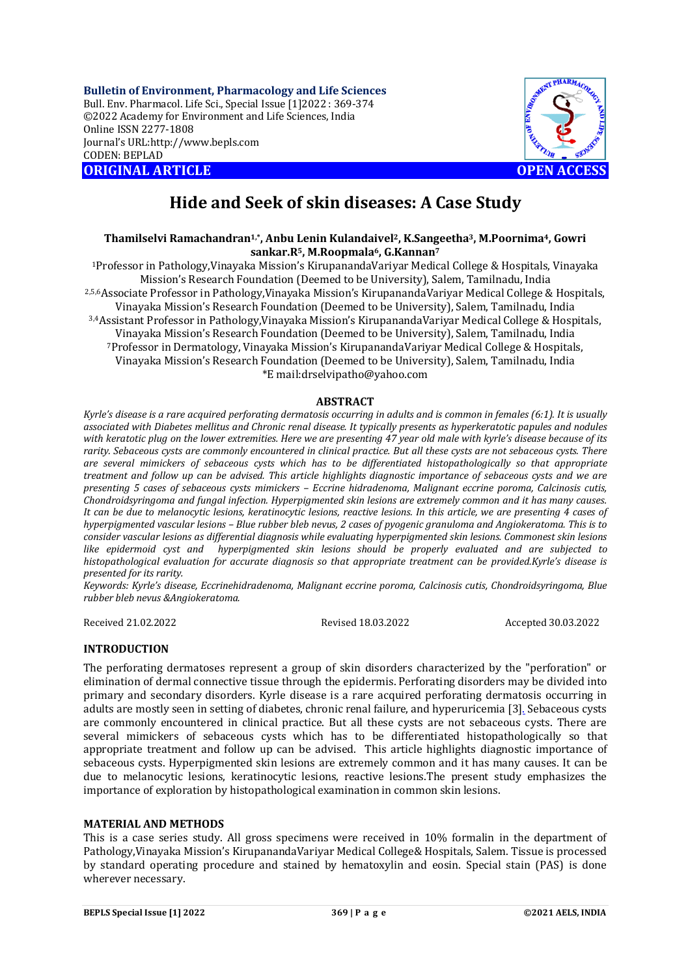**Bulletin of Environment, Pharmacology and Life Sciences** Bull. Env. Pharmacol. Life Sci., Special Issue [1]2022 : 369-374 ©2022 Academy for Environment and Life Sciences, India Online ISSN 2277-1808 Journal's URL:<http://www.bepls.com> CODEN: BEPLAD **ORIGINAL ARTICLE OPEN ACCESS** 



# **Hide and Seek of skin diseases: A Case Study**

# **Thamilselvi Ramachandran1,\*, Anbu Lenin Kulandaivel2, K.Sangeetha3, M.Poornima4, Gowri sankar.R5, M.Roopmala6, G.Kannan<sup>7</sup>**

<sup>1</sup>Professor in Pathology,Vinayaka Mission's KirupanandaVariyar Medical College & Hospitals, Vinayaka Mission's Research Foundation (Deemed to be University), Salem, Tamilnadu, India 2,5,6Associate Professor in Pathology,Vinayaka Mission's KirupanandaVariyar Medical College & Hospitals, Vinayaka Mission's Research Foundation (Deemed to be University), Salem, Tamilnadu, India 3,4Assistant Professor in Pathology,Vinayaka Mission's KirupanandaVariyar Medical College & Hospitals, Vinayaka Mission's Research Foundation (Deemed to be University), Salem, Tamilnadu, India <sup>7</sup>Professor in Dermatology, Vinayaka Mission's KirupanandaVariyar Medical College & Hospitals, Vinayaka Mission's Research Foundation (Deemed to be University), Salem, Tamilnadu, India \*E [mail:drselvipatho@yahoo.com](mailto:mail:drselvipatho@yahoo.com)

## **ABSTRACT**

*Kyrle's disease is a rare acquired perforating dermatosis occurring in adults and is common in females (6:1). It is usually associated with Diabetes mellitus and Chronic renal disease. It typically presents as hyperkeratotic papules and nodules with keratotic plug on the lower extremities. Here we are presenting 47 year old male with kyrle's disease because of its rarity. Sebaceous cysts are commonly encountered in clinical practice. But all these cysts are not sebaceous cysts. There are several mimickers of sebaceous cysts which has to be differentiated histopathologically so that appropriate treatment and follow up can be advised. This article highlights diagnostic importance of sebaceous cysts and we are presenting 5 cases of sebaceous cysts mimickers – Eccrine hidradenoma, Malignant eccrine poroma, Calcinosis cutis, Chondroidsyringoma and fungal infection. Hyperpigmented skin lesions are extremely common and it has many causes. It can be due to melanocytic lesions, keratinocytic lesions, reactive lesions. In this article, we are presenting 4 cases of hyperpigmented vascular lesions – Blue rubber bleb nevus, 2 cases of pyogenic granuloma and Angiokeratoma. This is to consider vascular lesions as differential diagnosis while evaluating hyperpigmented skin lesions. Commonest skin lesions like epidermoid cyst and hyperpigmented skin lesions should be properly evaluated and are subjected to histopathological evaluation for accurate diagnosis so that appropriate treatment can be provided.Kyrle's disease is presented for its rarity.*

*Keywords: Kyrle's disease, Eccrinehidradenoma, Malignant eccrine poroma, Calcinosis cutis, Chondroidsyringoma, Blue rubber bleb nevus &Angiokeratoma.*

Received 21.02.2022 Revised 18.03.2022 Accepted 30.03.2022

# **INTRODUCTION**

The perforating dermatoses represent a group of skin disorders characterized by the "perforation" or elimination of dermal connective tissue through the epidermis. Perforating disorders may be divided into primary and secondary disorders. Kyrle disease is a rare acquired perforating dermatosis occurring in adults are mostly seen in setting of diabetes, chronic renal failure, and hyperuricemia [3]. Sebaceous cysts are commonly encountered in clinical practice. But all these cysts are not sebaceous cysts. There are several mimickers of sebaceous cysts which has to be differentiated histopathologically so that appropriate treatment and follow up can be advised. This article highlights diagnostic importance of sebaceous cysts. Hyperpigmented skin lesions are extremely common and it has many causes. It can be due to melanocytic lesions, keratinocytic lesions, reactive lesions.The present study emphasizes the importance of exploration by histopathological examination in common skin lesions.

## **MATERIAL AND METHODS**

This is a case series study. All gross specimens were received in 10% formalin in the department of Pathology,Vinayaka Mission's KirupanandaVariyar Medical College& Hospitals, Salem. Tissue is processed by standard operating procedure and stained by hematoxylin and eosin. Special stain (PAS) is done wherever necessary.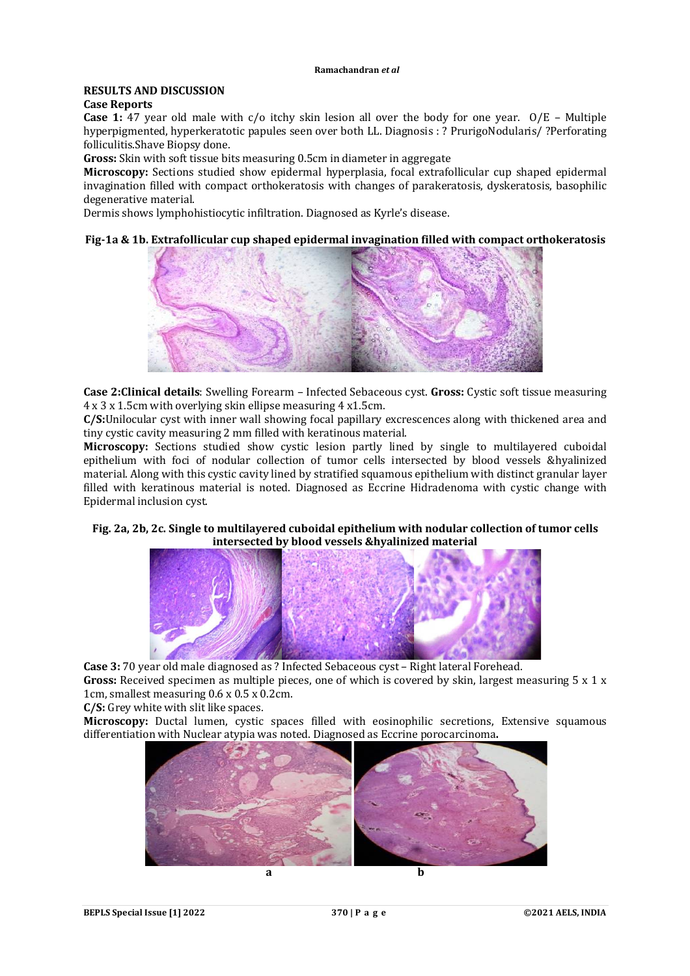#### **Ramachandran** *et al*

# **RESULTS AND DISCUSSION**

# **Case Reports**

**Case 1:** 47 year old male with c/o itchy skin lesion all over the body for one year. O/E – Multiple hyperpigmented, hyperkeratotic papules seen over both LL. Diagnosis : ? PrurigoNodularis/ ?Perforating folliculitis.Shave Biopsy done.

**Gross:** Skin with soft tissue bits measuring 0.5cm in diameter in aggregate

**Microscopy:** Sections studied show epidermal hyperplasia, focal extrafollicular cup shaped epidermal invagination filled with compact orthokeratosis with changes of parakeratosis, dyskeratosis, basophilic degenerative material.

Dermis shows lymphohistiocytic infiltration. Diagnosed as Kyrle's disease.

# **Fig-1a & 1b. Extrafollicular cup shaped epidermal invagination filled with compact orthokeratosis**



**Case 2:Clinical details**: Swelling Forearm – Infected Sebaceous cyst. **Gross:** Cystic soft tissue measuring 4 x 3 x 1.5cm with overlying skin ellipse measuring 4 x1.5cm.

**C/S:**Unilocular cyst with inner wall showing focal papillary excrescences along with thickened area and tiny cystic cavity measuring 2 mm filled with keratinous material.

**Microscopy:** Sections studied show cystic lesion partly lined by single to multilayered cuboidal epithelium with foci of nodular collection of tumor cells intersected by blood vessels &hyalinized material. Along with this cystic cavity lined by stratified squamous epithelium with distinct granular layer filled with keratinous material is noted. Diagnosed as Eccrine Hidradenoma with cystic change with Epidermal inclusion cyst.

# **Fig. 2a, 2b, 2c. Single to multilayered cuboidal epithelium with nodular collection of tumor cells intersected by blood vessels &hyalinized material**



**Case 3:** 70 year old male diagnosed as ? Infected Sebaceous cyst – Right lateral Forehead. **Gross:** Received specimen as multiple pieces, one of which is covered by skin, largest measuring 5 x 1 x 1cm, smallest measuring 0.6 x 0.5 x 0.2cm.

**C/S:** Grey white with slit like spaces.

**Microscopy:** Ductal lumen, cystic spaces filled with eosinophilic secretions. Extensive squamous differentiation with Nuclear atypia was noted. Diagnosed as Eccrine porocarcinoma**.**

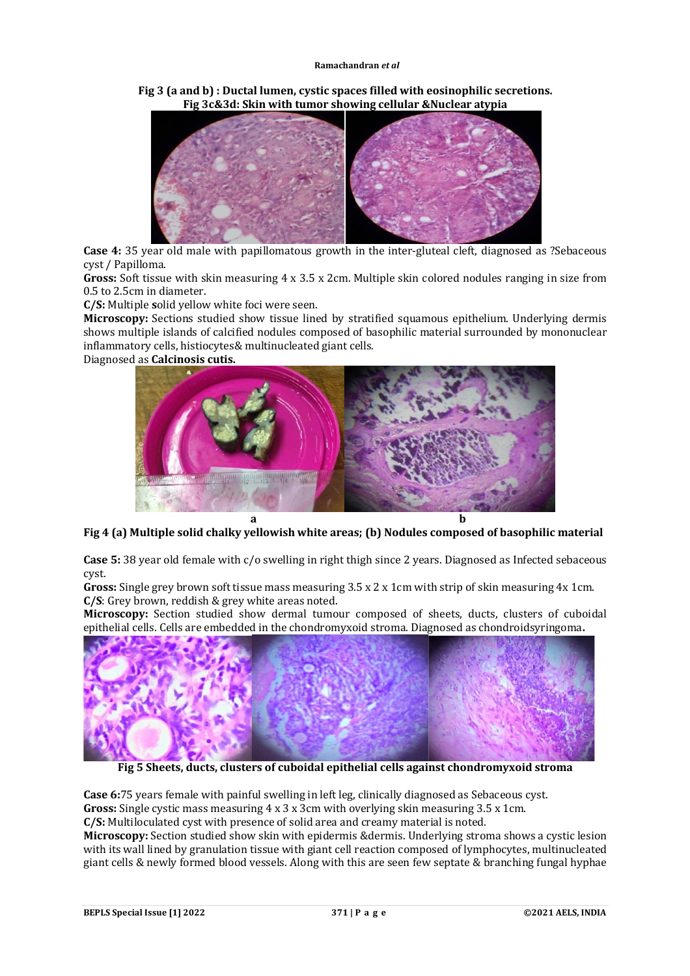#### **Ramachandran** *et al*

**Fig 3 (a and b) : Ductal lumen, cystic spaces filled with eosinophilic secretions. Fig 3c&3d: Skin with tumor showing cellular &Nuclear atypia**



**Case 4:** 35 year old male with papillomatous growth in the inter-gluteal cleft, diagnosed as ?Sebaceous cyst / Papilloma.

**Gross:** Soft tissue with skin measuring 4 x 3.5 x 2cm. Multiple skin colored nodules ranging in size from 0.5 to 2.5cm in diameter.

**C/S:** Multiple **s**olid yellow white foci were seen.

**Microscopy:** Sections studied show tissue lined by stratified squamous epithelium. Underlying dermis shows multiple islands of calcified nodules composed of basophilic material surrounded by mononuclear inflammatory cells, histiocytes& multinucleated giant cells.

Diagnosed as **Calcinosis cutis.**



**Fig 4 (a) Multiple solid chalky yellowish white areas; (b) Nodules composed of basophilic material**

**Case 5:** 38 year old female with c/o swelling in right thigh since 2 years. Diagnosed as Infected sebaceous cyst.

**Gross:** Single grey brown soft tissue mass measuring 3.5 x 2 x 1cm with strip of skin measuring 4x 1cm. **C/S**: Grey brown, reddish & grey white areas noted.

**Microscopy:** Section studied show dermal tumour composed of sheets, ducts, clusters of cuboidal epithelial cells. Cells are embedded in the chondromyxoid stroma. Diagnosed as chondroidsyringoma**.**



**Fig 5 Sheets, ducts, clusters of cuboidal epithelial cells against chondromyxoid stroma**

**Case 6:**75 years female with painful swelling in left leg, clinically diagnosed as Sebaceous cyst. **Gross:** Single cystic mass measuring 4 x 3 x 3cm with overlying skin measuring 3.5 x 1cm. **C/S:** Multiloculated cyst with presence of solid area and creamy material is noted.

**Microscopy:** Section studied show skin with epidermis &dermis. Underlying stroma shows a cystic lesion with its wall lined by granulation tissue with giant cell reaction composed of lymphocytes, multinucleated giant cells & newly formed blood vessels. Along with this are seen few septate & branching fungal hyphae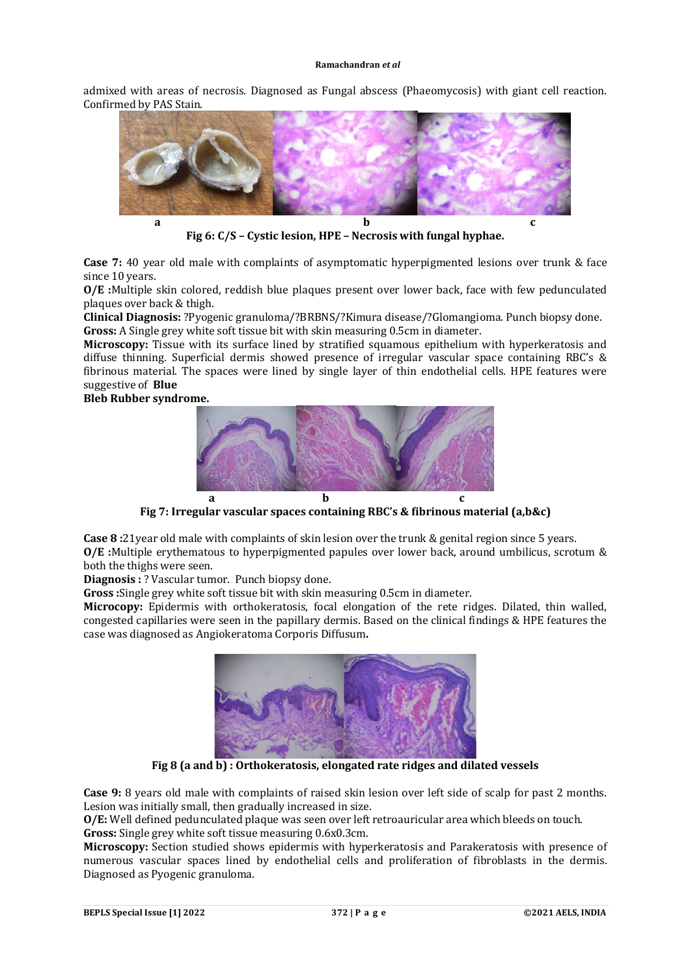#### **Ramachandran** *et al*

admixed with areas of necrosis. Diagnosed as Fungal abscess (Phaeomycosis) with giant cell reaction. Confirmed by PAS Stain.



**Fig 6: C/S – Cystic lesion, HPE – Necrosis with fungal hyphae.** 

**Case 7:** 40 year old male with complaints of asymptomatic hyperpigmented lesions over trunk & face since 10 years.

**O/E :**Multiple skin colored, reddish blue plaques present over lower back, face with few pedunculated plaques over back & thigh.

**Clinical Diagnosis:** ?Pyogenic granuloma/?BRBNS/?Kimura disease/?Glomangioma. Punch biopsy done. **Gross:** A Single grey white soft tissue bit with skin measuring 0.5cm in diameter.

**Microscopy:** Tissue with its surface lined by stratified squamous epithelium with hyperkeratosis and diffuse thinning. Superficial dermis showed presence of irregular vascular space containing RBC's & fibrinous material. The spaces were lined by single layer of thin endothelial cells. HPE features were suggestive of **Blue** 

**Bleb Rubber syndrome.** 



**Fig 7: Irregular vascular spaces containing RBC's & fibrinous material (a,b&c)**

**Case 8 :**21year old male with complaints of skin lesion over the trunk & genital region since 5 years. **O/E :**Multiple erythematous to hyperpigmented papules over lower back, around umbilicus, scrotum & both the thighs were seen.

**Diagnosis :** ? Vascular tumor. Punch biopsy done.

**Gross :**Single grey white soft tissue bit with skin measuring 0.5cm in diameter.

**Microcopy:** Epidermis with orthokeratosis, focal elongation of the rete ridges. Dilated, thin walled, congested capillaries were seen in the papillary dermis. Based on the clinical findings & HPE features the case was diagnosed as Angiokeratoma Corporis Diffusum**.** 



**Fig 8 (a and b) : Orthokeratosis, elongated rate ridges and dilated vessels**

**Case 9:** 8 years old male with complaints of raised skin lesion over left side of scalp for past 2 months. Lesion was initially small, then gradually increased in size.

**O/E:** Well defined pedunculated plaque was seen over left retroauricular area which bleeds on touch. **Gross:** Single grey white soft tissue measuring 0.6x0.3cm.

**Microscopy:** Section studied shows epidermis with hyperkeratosis and Parakeratosis with presence of numerous vascular spaces lined by endothelial cells and proliferation of fibroblasts in the dermis. Diagnosed as Pyogenic granuloma.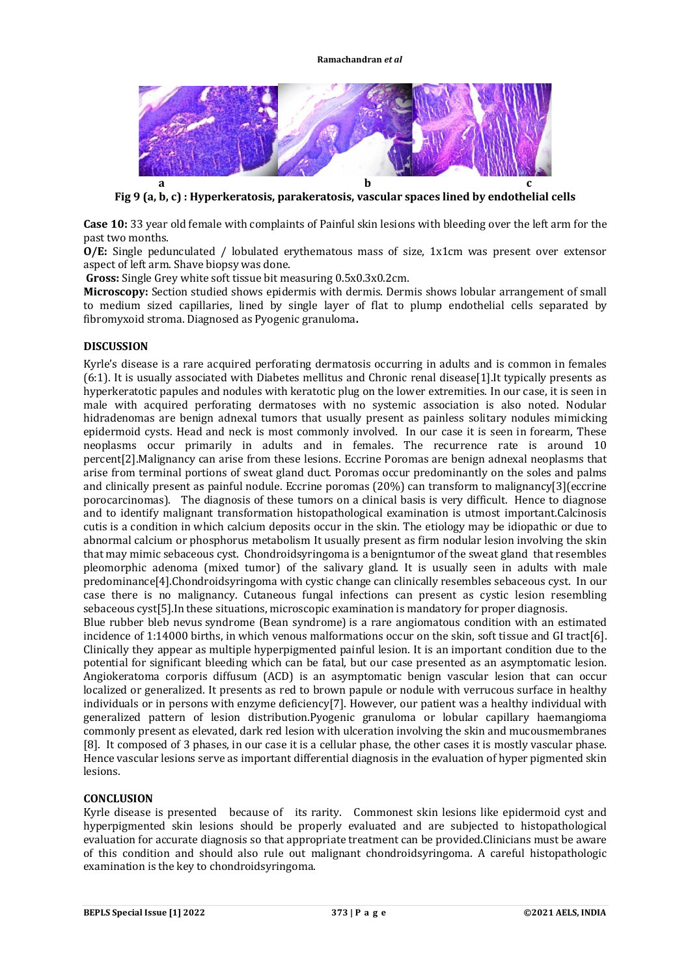

**Fig 9 (a, b, c) : Hyperkeratosis, parakeratosis, vascular spaces lined by endothelial cells**

**Case 10:** 33 year old female with complaints of Painful skin lesions with bleeding over the left arm for the past two months.

**O/E:** Single pedunculated / lobulated erythematous mass of size, 1x1cm was present over extensor aspect of left arm. Shave biopsy was done.

**Gross:** Single Grey white soft tissue bit measuring 0.5x0.3x0.2cm.

**Microscopy:** Section studied shows epidermis with dermis. Dermis shows lobular arrangement of small to medium sized capillaries, lined by single layer of flat to plump endothelial cells separated by fibromyxoid stroma. Diagnosed as Pyogenic granuloma**.**

## **DISCUSSION**

Kyrle's disease is a rare acquired perforating dermatosis occurring in adults and is common in females (6:1). It is usually associated with Diabetes mellitus and Chronic renal disease[1].It typically presents as hyperkeratotic papules and nodules with keratotic plug on the lower extremities. In our case, it is seen in male with acquired perforating dermatoses with no systemic association is also noted. Nodular hidradenomas are benign adnexal tumors that usually present as painless solitary nodules mimicking epidermoid cysts. Head and neck is most commonly involved. In our case it is seen in forearm, These neoplasms occur primarily in adults and in females. The recurrence rate is around 10 percent[2].Malignancy can arise from these lesions. Eccrine Poromas are benign adnexal neoplasms that arise from terminal portions of sweat gland duct. Poromas occur predominantly on the soles and palms and clinically present as painful nodule. Eccrine poromas (20%) can transform to malignancy[3](eccrine porocarcinomas). The diagnosis of these tumors on a clinical basis is very difficult. Hence to diagnose and to identify malignant transformation histopathological examination is utmost important.Calcinosis cutis is a condition in which calcium deposits occur in the skin. The etiology may be idiopathic or due to abnormal calcium or phosphorus metabolism It usually present as firm nodular lesion involving the skin that may mimic sebaceous cyst. Chondroidsyringoma is a benigntumor of the sweat gland that resembles pleomorphic adenoma (mixed tumor) of the salivary gland. It is usually seen in adults with male predominance[4].Chondroidsyringoma with cystic change can clinically resembles sebaceous cyst. In our case there is no malignancy. Cutaneous fungal infections can present as cystic lesion resembling sebaceous cyst[5].In these situations, microscopic examination is mandatory for proper diagnosis.

Blue rubber bleb nevus syndrome (Bean syndrome) is a rare angiomatous condition with an estimated incidence of 1:14000 births, in which venous malformations occur on the skin, soft tissue and GI tract[6]. Clinically they appear as multiple hyperpigmented painful lesion. It is an important condition due to the potential for significant bleeding which can be fatal, but our case presented as an asymptomatic lesion. Angiokeratoma corporis diffusum (ACD) is an asymptomatic benign vascular lesion that can occur localized or generalized. It presents as red to brown papule or nodule with verrucous surface in healthy individuals or in persons with enzyme deficiency[7]. However, our patient was a healthy individual with generalized pattern of lesion distribution.Pyogenic granuloma or lobular capillary haemangioma commonly present as elevated, dark red lesion with ulceration involving the skin and mucousmembranes [8]. It composed of 3 phases, in our case it is a cellular phase, the other cases it is mostly vascular phase. Hence vascular lesions serve as important differential diagnosis in the evaluation of hyper pigmented skin lesions.

# **CONCLUSION**

Kyrle disease is presented because of its rarity. Commonest skin lesions like epidermoid cyst and hyperpigmented skin lesions should be properly evaluated and are subjected to histopathological evaluation for accurate diagnosis so that appropriate treatment can be provided.Clinicians must be aware of this condition and should also rule out malignant chondroidsyringoma. A careful histopathologic examination is the key to chondroidsyringoma.